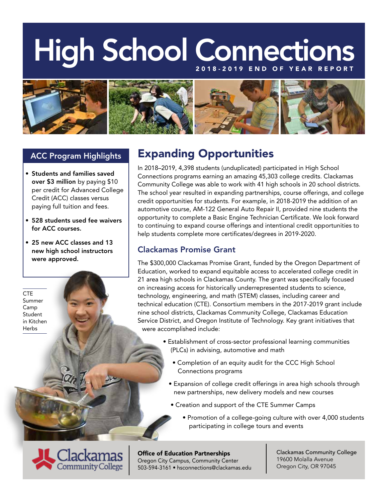# High School Connections



### ACC Program Highlights

- Students and families saved over \$3 million by paying \$10 per credit for Advanced College Credit (ACC) classes versus paying full tuition and fees.
- 528 students used fee waivers for ACC courses.
- 25 new ACC classes and 13 new high school instructors were approved.

**CTE** Summer Camp **Student** in Kitchen Herbs

## Expanding Opportunities

In 2018–2019, 4,398 students (unduplicated) participated in High School Connections programs earning an amazing 45,303 college credits. Clackamas Community College was able to work with 41 high schools in 20 school districts. The school year resulted in expanding partnerships, course offerings, and college credit opportunities for students. For example, in 2018-2019 the addition of an automotive course, AM-122 General Auto Repair II, provided nine students the opportunity to complete a Basic Engine Technician Certificate. We look forward to continuing to expand course offerings and intentional credit opportunities to help students complete more certificates/degrees in 2019-2020.

### Clackamas Promise Grant

The \$300,000 Clackamas Promise Grant, funded by the Oregon Department of Education, worked to expand equitable access to accelerated college credit in 21 area high schools in Clackamas County. The grant was specifically focused on increasing access for historically underrepresented students to science, technology, engineering, and math (STEM) classes, including career and technical education (CTE). Consortium members in the 2017-2019 grant include nine school districts, Clackamas Community College, Clackamas Education Service District, and Oregon Institute of Technology. Key grant initiatives that were accomplished include:

- Establishment of cross-sector professional learning communities (PLCs) in advising, automotive and math
	- Completion of an equity audit for the CCC High School Connections programs
	- Expansion of college credit offerings in area high schools through new partnerships, new delivery models and new courses
	- Creation and support of the CTE Summer Camps
		- Promotion of a college-going culture with over 4,000 students participating in college tours and events

Office of Education Partnerships Oregon City Campus, Community Center **Community College** 503-594-3161 • hsconnections@clackamas.edu Clackamas Community College 19600 Molalla Avenue Oregon City, OR 97045